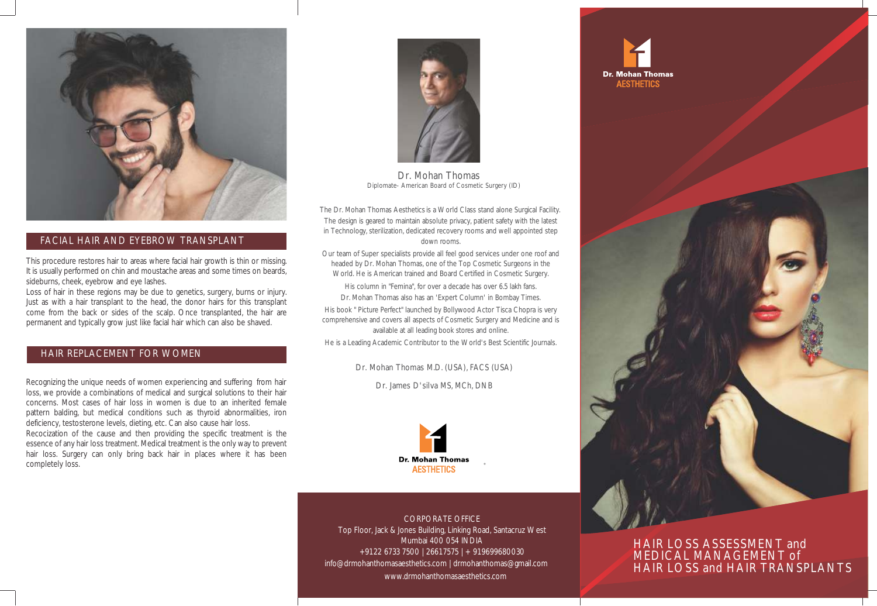

#### FACIAL HAIR AND EYEBROW TRANSPLANT

This procedure restores hair to areas where facial hair growth is thin or missing. It is usually performed on chin and moustache areas and some times on beards, sideburns, cheek, eyebrow and eye lashes.

Loss of hair in these regions may be due to genetics, surgery, burns or injury. Just as with a hair transplant to the head, the donor hairs for this transplant come from the back or sides of the scalp. Once transplanted, the hair are permanent and typically grow just like facial hair which can also be shaved.

#### HAIR REPLACEMENT FOR WOMEN

Recognizing the unique needs of women experiencing and suffering from hair loss, we provide a combinations of medical and surgical solutions to their hair concerns. Most cases of hair loss in women is due to an inherited female pattern balding, but medical conditions such as thyroid abnormalities, iron deficiency, testosterone levels, dieting, etc. Can also cause hair loss. Recocization of the cause and then providing the specific treatment is the

essence of any hair loss treatment. Medical treatment is the only way to prevent hair loss. Surgery can only bring back hair in places where it has been completely loss.



Dr. Mohan Thomas Diplomate- American Board of Cosmetic Surgery (ID)

 The Dr. Mohan Thomas Aesthetics is a World Class stand alone Surgical Facility. The design is geared to maintain absolute privacy, patient safety with the latest in Technology, sterilization, dedicated recovery rooms and well appointed step down rooms.

Our team of Super specialists provide all feel good services under one roof and headed by Dr. Mohan Thomas, one of the Top Cosmetic Surgeons in the World. He is American trained and Board Certified in Cosmetic Surgery. His column in "Femina", for over a decade has over 6.5 lakh fans. Dr. Mohan Thomas also has an 'Expert Column' in Bombay Times. His book " Picture Perfect" launched by Bollywood Actor Tisca Chopra is very

comprehensive and covers all aspects of Cosmetic Surgery and Medicine and is available at all leading book stores and online.

He is a Leading Academic Contributor to the World's Best Scientific Journals.

Dr. Mohan Thomas M.D. (USA), FACS (USA)

Dr. James D'silva MS, MCh, DNB



CORPORATE OFFICE Top Floor, Jack & Jones Building, Linking Road, Santacruz West Mumbai 400 054 INDIA +91 22 6733 7500 | 2661 7575 | + 91 9699680030 info@drmohanthomasaesthetics.com | drmohanthomas@gmail.com www.drmohanthomasaesthetics.com





HAIR LOSS ASSESSMENT and MEDICAL MANAGEMENT of HAIR LOSS and HAIR TRANSPLANTS